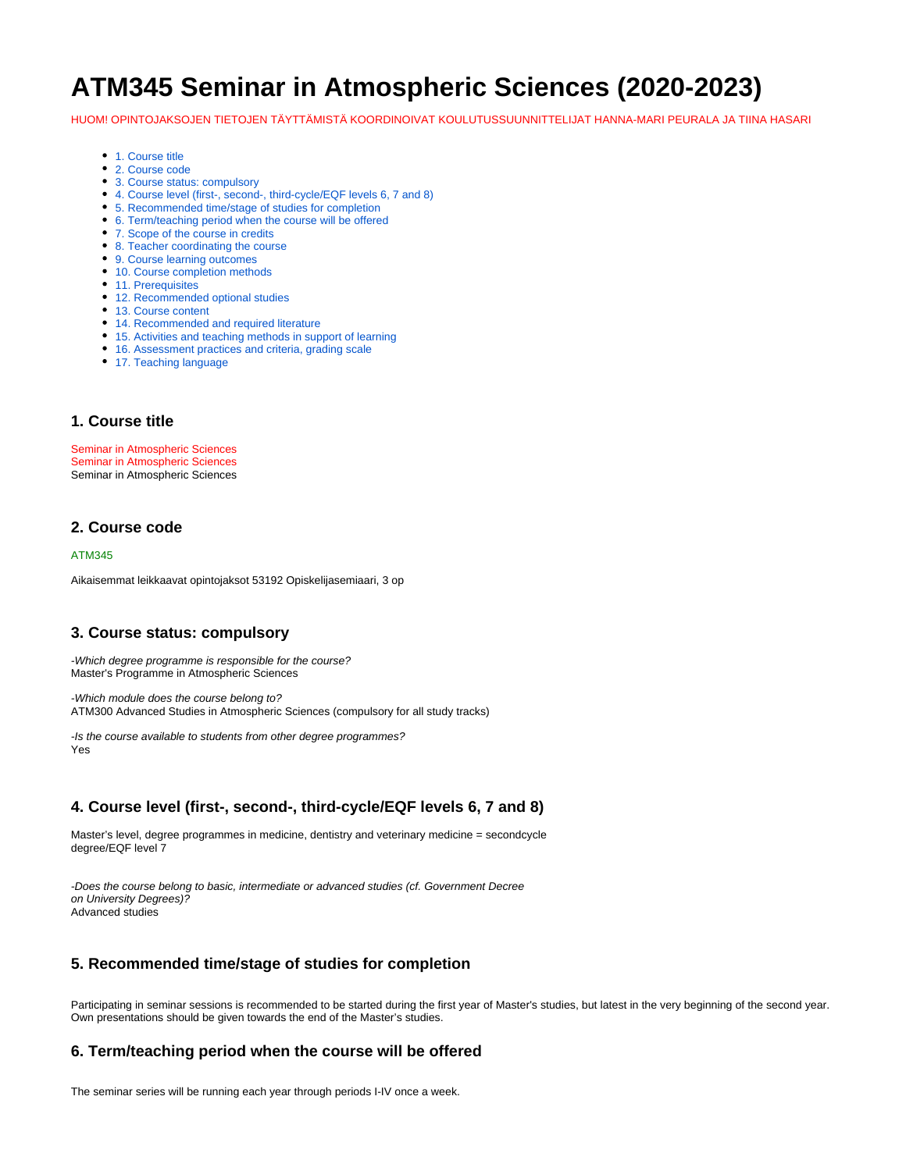# **ATM345 Seminar in Atmospheric Sciences (2020-2023)**

HUOM! OPINTOJAKSOJEN TIETOJEN TÄYTTÄMISTÄ KOORDINOIVAT KOULUTUSSUUNNITTELIJAT HANNA-MARI PEURALA JA TIINA HASARI

- [1. Course title](#page-0-0)
- [2. Course code](#page-0-1)
- [3. Course status: compulsory](#page-0-2)
- [4. Course level \(first-, second-, third-cycle/EQF levels 6, 7 and 8\)](#page-0-3)
- [5. Recommended time/stage of studies for completion](#page-0-4)
- [6. Term/teaching period when the course will be offered](#page-0-5)
- [7. Scope of the course in credits](#page-0-6)
- [8. Teacher coordinating the course](#page-1-0)
- [9. Course learning outcomes](#page-1-1)
- [10. Course completion methods](#page-1-2)
- [11. Prerequisites](#page-1-3)
- [12. Recommended optional studies](#page-1-4)
- [13. Course content](#page-1-5)
- [14. Recommended and required literature](#page-1-6)
- [15. Activities and teaching methods in support of learning](#page-1-7)
- [16. Assessment practices and criteria, grading scale](#page-1-8)
- [17. Teaching language](#page-1-9)

#### <span id="page-0-0"></span>**1. Course title**

Seminar in Atmospheric Sciences Seminar in Atmospheric Sciences Seminar in Atmospheric Sciences

# <span id="page-0-1"></span>**2. Course code**

#### ATM345

Aikaisemmat leikkaavat opintojaksot 53192 Opiskelijasemiaari, 3 op

#### <span id="page-0-2"></span>**3. Course status: compulsory**

-Which degree programme is responsible for the course? Master's Programme in Atmospheric Sciences

-Which module does the course belong to? ATM300 Advanced Studies in Atmospheric Sciences (compulsory for all study tracks)

-Is the course available to students from other degree programmes? Yes

# <span id="page-0-3"></span>**4. Course level (first-, second-, third-cycle/EQF levels 6, 7 and 8)**

Master's level, degree programmes in medicine, dentistry and veterinary medicine = secondcycle degree/EQF level 7

-Does the course belong to basic, intermediate or advanced studies (cf. Government Decree on University Degrees)? Advanced studies

# <span id="page-0-4"></span>**5. Recommended time/stage of studies for completion**

Participating in seminar sessions is recommended to be started during the first year of Master's studies, but latest in the very beginning of the second year. Own presentations should be given towards the end of the Master's studies.

#### <span id="page-0-5"></span>**6. Term/teaching period when the course will be offered**

<span id="page-0-6"></span>The seminar series will be running each year through periods I-IV once a week.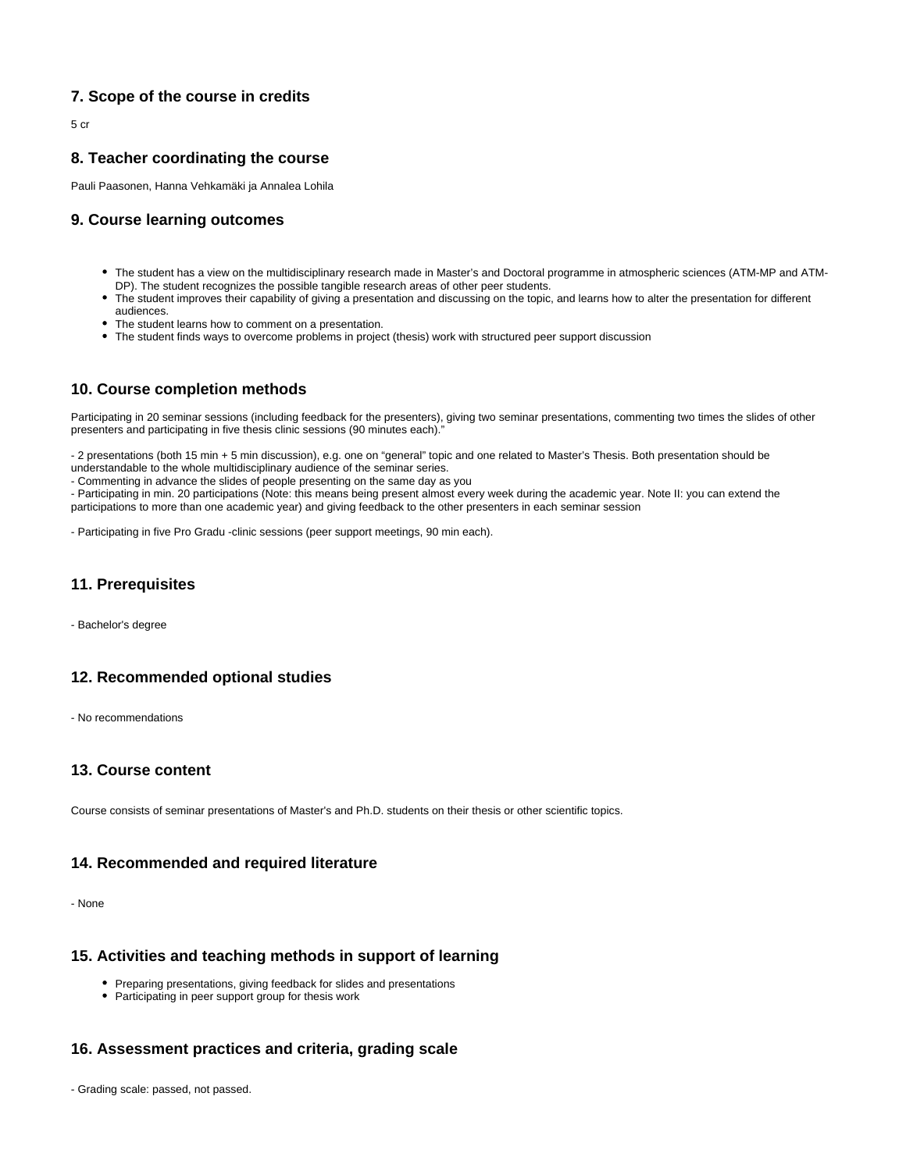# **7. Scope of the course in credits**

5 cr

# <span id="page-1-0"></span>**8. Teacher coordinating the course**

Pauli Paasonen, Hanna Vehkamäki ja Annalea Lohila

#### <span id="page-1-1"></span>**9. Course learning outcomes**

- The student has a view on the multidisciplinary research made in Master's and Doctoral programme in atmospheric sciences (ATM-MP and ATM-DP). The student recognizes the possible tangible research areas of other peer students.
- The student improves their capability of giving a presentation and discussing on the topic, and learns how to alter the presentation for different audiences.
- The student learns how to comment on a presentation.
- The student finds ways to overcome problems in project (thesis) work with structured peer support discussion

#### <span id="page-1-2"></span>**10. Course completion methods**

Participating in 20 seminar sessions (including feedback for the presenters), giving two seminar presentations, commenting two times the slides of other presenters and participating in five thesis clinic sessions (90 minutes each)."

- 2 presentations (both 15 min + 5 min discussion), e.g. one on "general" topic and one related to Master's Thesis. Both presentation should be understandable to the whole multidisciplinary audience of the seminar series.

- Commenting in advance the slides of people presenting on the same day as you

- Participating in min. 20 participations (Note: this means being present almost every week during the academic year. Note II: you can extend the participations to more than one academic year) and giving feedback to the other presenters in each seminar session

- Participating in five Pro Gradu -clinic sessions (peer support meetings, 90 min each).

# <span id="page-1-3"></span>**11. Prerequisites**

- Bachelor's degree

# <span id="page-1-4"></span>**12. Recommended optional studies**

- No recommendations

#### <span id="page-1-5"></span>**13. Course content**

Course consists of seminar presentations of Master's and Ph.D. students on their thesis or other scientific topics.

#### <span id="page-1-6"></span>**14. Recommended and required literature**

- None

#### <span id="page-1-7"></span>**15. Activities and teaching methods in support of learning**

- Preparing presentations, giving feedback for slides and presentations
- Participating in peer support group for thesis work

# <span id="page-1-8"></span>**16. Assessment practices and criteria, grading scale**

<span id="page-1-9"></span>- Grading scale: passed, not passed.